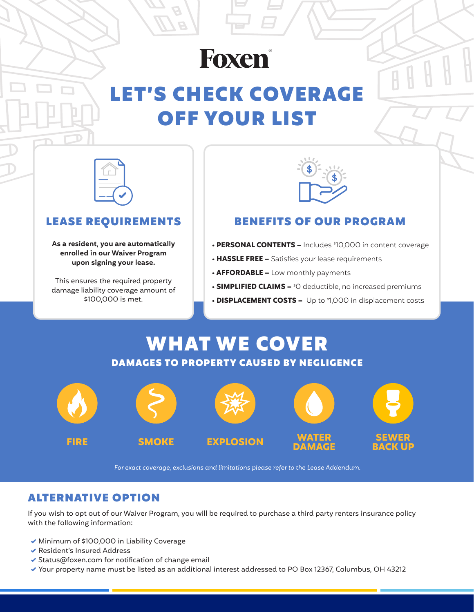# Foxen®

## LET'S CHECK COVERAGE OFF YOUR LIST



#### LEASE REQUIREMENTS

**As a resident, you are automatically enrolled in our Waiver Program upon signing your lease.**

This ensures the required property damage liability coverage amount of \$100,000 is met.



#### BENEFITS OF OUR PROGRAM

- **PERSONAL CONTENTS –** Includes <sup>\$</sup>10,000 in content coverage
- **HASSLE FREE –** Satisfies your lease requirements
- **AFFORDABLE –** Low monthly payments
- **SIMPLIFIED CLAIMS –**  $^{\circ}$ O deductible, no increased premiums
- **DISPLACEMENT COSTS –** Up to \$ 1,000 in displacement costs

### WHAT WE COVER DAMAGES TO PROPERTY CAUSED BY NEGLIGENCE



*For exact coverage, exclusions and limitations please refer to the Lease Addendum.*

### ALTERNATIVE OPTION

If you wish to opt out of our Waiver Program, you will be required to purchase a third party renters insurance policy with the following information:

- ◆ Minimum of \$100,000 in Liability Coverage
- Resident's Insured Address
- $\blacktriangleright$  Status@foxen.com for notification of change email
- Your property name must be listed as an additional interest addressed to PO Box 12367, Columbus, OH 43212